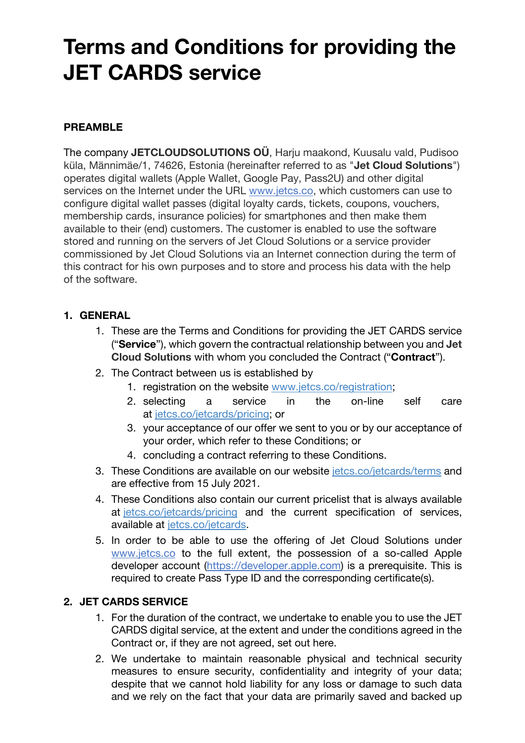# **Terms and Conditions for providing the JET CARDS service**

## **PREAMBLE**

The company **JETCLOUDSOLUTIONS OÜ**, Harju maakond, Kuusalu vald, Pudisoo küla, Männimäe/1, 74626, Estonia (hereinafter referred to as "**Jet Cloud Solutions**") operates digital wallets (Apple Wallet, Google Pay, Pass2U) and other digital services on the Internet under the URL www.jetcs.co, which customers can use to configure digital wallet passes (digital loyalty cards, tickets, coupons, vouchers, membership cards, insurance policies) for smartphones and then make them available to their (end) customers. The customer is enabled to use the software stored and running on the servers of Jet Cloud Solutions or a service provider commissioned by Jet Cloud Solutions via an Internet connection during the term of this contract for his own purposes and to store and process his data with the help of the software.

#### **1. GENERAL**

- 1. These are the Terms and Conditions for providing the JET CARDS service ("**Service**"), which govern the contractual relationship between you and **Jet Cloud Solutions** with whom you concluded the Contract ("**Contract**").
- 2. The Contract between us is established by
	- 1. registration on the website www.jetcs.co/registration;
	- 2. selecting a service in the on-line self care at jetcs.co/jetcards/pricing; or
	- 3. your acceptance of our offer we sent to you or by our acceptance of your order, which refer to these Conditions; or
	- 4. concluding a contract referring to these Conditions.
- 3. These Conditions are available on our website jetcs.co/jetcards/terms and are effective from 15 July 2021.
- 4. These Conditions also contain our current pricelist that is always available at jetcs.co/jetcards/pricing and the current specification of services, available at jetcs.co/jetcards.
- 5. In order to be able to use the offering of Jet Cloud Solutions under www.jetcs.co to the full extent, the possession of a so-called Apple developer account (https://developer.apple.com) is a prerequisite. This is required to create Pass Type ID and the corresponding certificate(s).

#### **2. JET CARDS SERVICE**

- 1. For the duration of the contract, we undertake to enable you to use the JET CARDS digital service, at the extent and under the conditions agreed in the Contract or, if they are not agreed, set out here.
- 2. We undertake to maintain reasonable physical and technical security measures to ensure security, confidentiality and integrity of your data; despite that we cannot hold liability for any loss or damage to such data and we rely on the fact that your data are primarily saved and backed up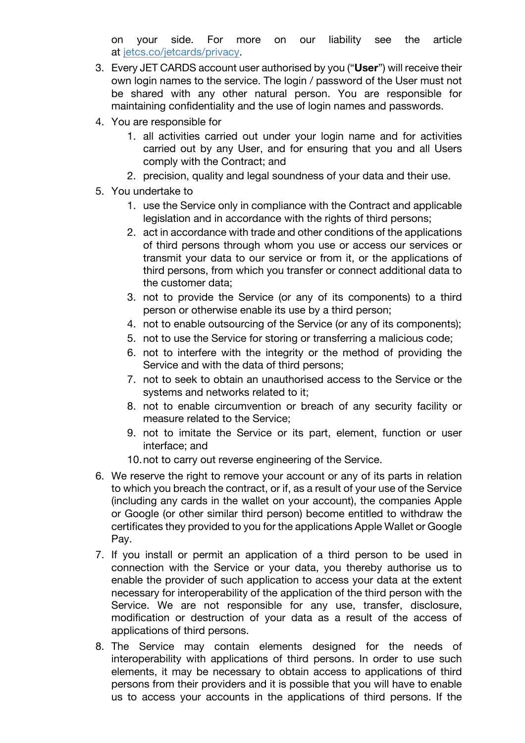on your side. For more on our liability see the article at jetcs.co/jetcards/privacy.

- 3. Every JET CARDS account user authorised by you ("**User**") will receive their own login names to the service. The login / password of the User must not be shared with any other natural person. You are responsible for maintaining confidentiality and the use of login names and passwords.
- 4. You are responsible for
	- 1. all activities carried out under your login name and for activities carried out by any User, and for ensuring that you and all Users comply with the Contract; and
	- 2. precision, quality and legal soundness of your data and their use.
- 5. You undertake to
	- 1. use the Service only in compliance with the Contract and applicable legislation and in accordance with the rights of third persons;
	- 2. act in accordance with trade and other conditions of the applications of third persons through whom you use or access our services or transmit your data to our service or from it, or the applications of third persons, from which you transfer or connect additional data to the customer data;
	- 3. not to provide the Service (or any of its components) to a third person or otherwise enable its use by a third person;
	- 4. not to enable outsourcing of the Service (or any of its components);
	- 5. not to use the Service for storing or transferring a malicious code;
	- 6. not to interfere with the integrity or the method of providing the Service and with the data of third persons;
	- 7. not to seek to obtain an unauthorised access to the Service or the systems and networks related to it;
	- 8. not to enable circumvention or breach of any security facility or measure related to the Service;
	- 9. not to imitate the Service or its part, element, function or user interface; and
	- 10.not to carry out reverse engineering of the Service.
- 6. We reserve the right to remove your account or any of its parts in relation to which you breach the contract, or if, as a result of your use of the Service (including any cards in the wallet on your account), the companies Apple or Google (or other similar third person) become entitled to withdraw the certificates they provided to you for the applications Apple Wallet or Google Pay.
- 7. If you install or permit an application of a third person to be used in connection with the Service or your data, you thereby authorise us to enable the provider of such application to access your data at the extent necessary for interoperability of the application of the third person with the Service. We are not responsible for any use, transfer, disclosure, modification or destruction of your data as a result of the access of applications of third persons.
- 8. The Service may contain elements designed for the needs of interoperability with applications of third persons. In order to use such elements, it may be necessary to obtain access to applications of third persons from their providers and it is possible that you will have to enable us to access your accounts in the applications of third persons. If the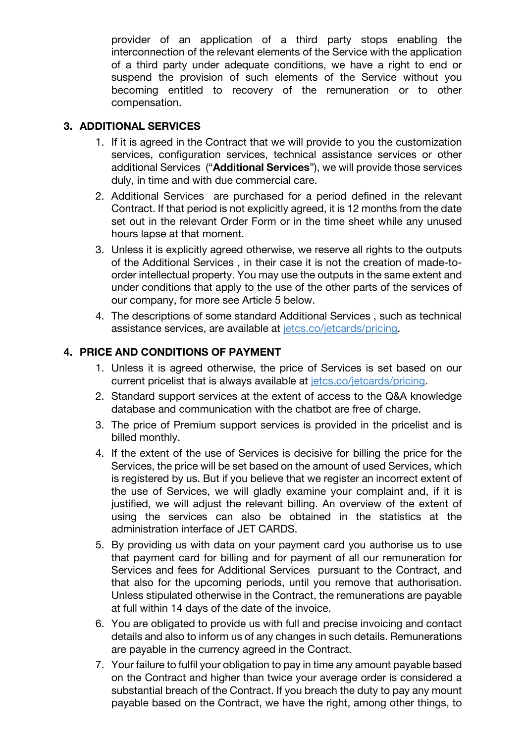provider of an application of a third party stops enabling the interconnection of the relevant elements of the Service with the application of a third party under adequate conditions, we have a right to end or suspend the provision of such elements of the Service without you becoming entitled to recovery of the remuneration or to other compensation.

#### **3. ADDITIONAL SERVICES**

- 1. If it is agreed in the Contract that we will provide to you the customization services, configuration services, technical assistance services or other additional Services ("**Additional Services**"), we will provide those services duly, in time and with due commercial care.
- 2. Additional Services are purchased for a period defined in the relevant Contract. If that period is not explicitly agreed, it is 12 months from the date set out in the relevant Order Form or in the time sheet while any unused hours lapse at that moment.
- 3. Unless it is explicitly agreed otherwise, we reserve all rights to the outputs of the Additional Services , in their case it is not the creation of made-toorder intellectual property. You may use the outputs in the same extent and under conditions that apply to the use of the other parts of the services of our company, for more see Article 5 below.
- 4. The descriptions of some standard Additional Services , such as technical assistance services, are available at jetcs.co/jetcards/pricing.

#### **4. PRICE AND CONDITIONS OF PAYMENT**

- 1. Unless it is agreed otherwise, the price of Services is set based on our current pricelist that is always available at jetcs.co/jetcards/pricing.
- 2. Standard support services at the extent of access to the Q&A knowledge database and communication with the chatbot are free of charge.
- 3. The price of Premium support services is provided in the pricelist and is billed monthly.
- 4. If the extent of the use of Services is decisive for billing the price for the Services, the price will be set based on the amount of used Services, which is registered by us. But if you believe that we register an incorrect extent of the use of Services, we will gladly examine your complaint and, if it is justified, we will adjust the relevant billing. An overview of the extent of using the services can also be obtained in the statistics at the administration interface of JET CARDS.
- 5. By providing us with data on your payment card you authorise us to use that payment card for billing and for payment of all our remuneration for Services and fees for Additional Services pursuant to the Contract, and that also for the upcoming periods, until you remove that authorisation. Unless stipulated otherwise in the Contract, the remunerations are payable at full within 14 days of the date of the invoice.
- 6. You are obligated to provide us with full and precise invoicing and contact details and also to inform us of any changes in such details. Remunerations are payable in the currency agreed in the Contract.
- 7. Your failure to fulfil your obligation to pay in time any amount payable based on the Contract and higher than twice your average order is considered a substantial breach of the Contract. If you breach the duty to pay any mount payable based on the Contract, we have the right, among other things, to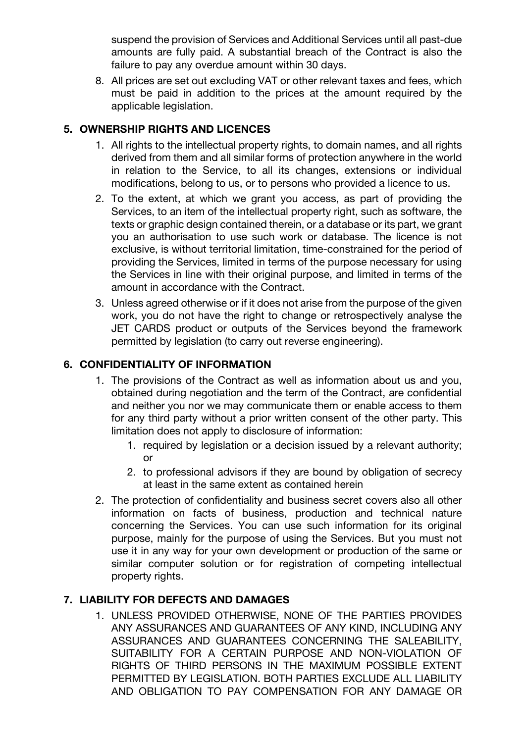suspend the provision of Services and Additional Services until all past-due amounts are fully paid. A substantial breach of the Contract is also the failure to pay any overdue amount within 30 days.

8. All prices are set out excluding VAT or other relevant taxes and fees, which must be paid in addition to the prices at the amount required by the applicable legislation.

## **5. OWNERSHIP RIGHTS AND LICENCES**

- 1. All rights to the intellectual property rights, to domain names, and all rights derived from them and all similar forms of protection anywhere in the world in relation to the Service, to all its changes, extensions or individual modifications, belong to us, or to persons who provided a licence to us.
- 2. To the extent, at which we grant you access, as part of providing the Services, to an item of the intellectual property right, such as software, the texts or graphic design contained therein, or a database or its part, we grant you an authorisation to use such work or database. The licence is not exclusive, is without territorial limitation, time-constrained for the period of providing the Services, limited in terms of the purpose necessary for using the Services in line with their original purpose, and limited in terms of the amount in accordance with the Contract.
- 3. Unless agreed otherwise or if it does not arise from the purpose of the given work, you do not have the right to change or retrospectively analyse the JET CARDS product or outputs of the Services beyond the framework permitted by legislation (to carry out reverse engineering).

## **6. CONFIDENTIALITY OF INFORMATION**

- 1. The provisions of the Contract as well as information about us and you, obtained during negotiation and the term of the Contract, are confidential and neither you nor we may communicate them or enable access to them for any third party without a prior written consent of the other party. This limitation does not apply to disclosure of information:
	- 1. required by legislation or a decision issued by a relevant authority; or
	- 2. to professional advisors if they are bound by obligation of secrecy at least in the same extent as contained herein
- 2. The protection of confidentiality and business secret covers also all other information on facts of business, production and technical nature concerning the Services. You can use such information for its original purpose, mainly for the purpose of using the Services. But you must not use it in any way for your own development or production of the same or similar computer solution or for registration of competing intellectual property rights.

# **7. LIABILITY FOR DEFECTS AND DAMAGES**

1. UNLESS PROVIDED OTHERWISE, NONE OF THE PARTIES PROVIDES ANY ASSURANCES AND GUARANTEES OF ANY KIND, INCLUDING ANY ASSURANCES AND GUARANTEES CONCERNING THE SALEABILITY, SUITABILITY FOR A CERTAIN PURPOSE AND NON-VIOLATION OF RIGHTS OF THIRD PERSONS IN THE MAXIMUM POSSIBLE EXTENT PERMITTED BY LEGISLATION. BOTH PARTIES EXCLUDE ALL LIABILITY AND OBLIGATION TO PAY COMPENSATION FOR ANY DAMAGE OR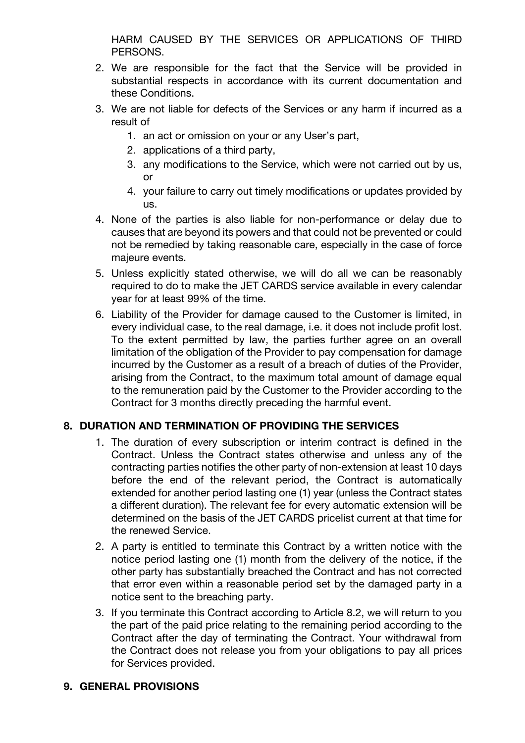HARM CAUSED BY THE SERVICES OR APPLICATIONS OF THIRD PERSONS.

- 2. We are responsible for the fact that the Service will be provided in substantial respects in accordance with its current documentation and these Conditions.
- 3. We are not liable for defects of the Services or any harm if incurred as a result of
	- 1. an act or omission on your or any User's part,
	- 2. applications of a third party,
	- 3. any modifications to the Service, which were not carried out by us, or
	- 4. your failure to carry out timely modifications or updates provided by us.
- 4. None of the parties is also liable for non-performance or delay due to causes that are beyond its powers and that could not be prevented or could not be remedied by taking reasonable care, especially in the case of force majeure events.
- 5. Unless explicitly stated otherwise, we will do all we can be reasonably required to do to make the JET CARDS service available in every calendar year for at least 99% of the time.
- 6. Liability of the Provider for damage caused to the Customer is limited, in every individual case, to the real damage, i.e. it does not include profit lost. To the extent permitted by law, the parties further agree on an overall limitation of the obligation of the Provider to pay compensation for damage incurred by the Customer as a result of a breach of duties of the Provider, arising from the Contract, to the maximum total amount of damage equal to the remuneration paid by the Customer to the Provider according to the Contract for 3 months directly preceding the harmful event.

## **8. DURATION AND TERMINATION OF PROVIDING THE SERVICES**

- 1. The duration of every subscription or interim contract is defined in the Contract. Unless the Contract states otherwise and unless any of the contracting parties notifies the other party of non-extension at least 10 days before the end of the relevant period, the Contract is automatically extended for another period lasting one (1) year (unless the Contract states a different duration). The relevant fee for every automatic extension will be determined on the basis of the JET CARDS pricelist current at that time for the renewed Service.
- 2. A party is entitled to terminate this Contract by a written notice with the notice period lasting one (1) month from the delivery of the notice, if the other party has substantially breached the Contract and has not corrected that error even within a reasonable period set by the damaged party in a notice sent to the breaching party.
- 3. If you terminate this Contract according to Article 8.2, we will return to you the part of the paid price relating to the remaining period according to the Contract after the day of terminating the Contract. Your withdrawal from the Contract does not release you from your obligations to pay all prices for Services provided.

## **9. GENERAL PROVISIONS**